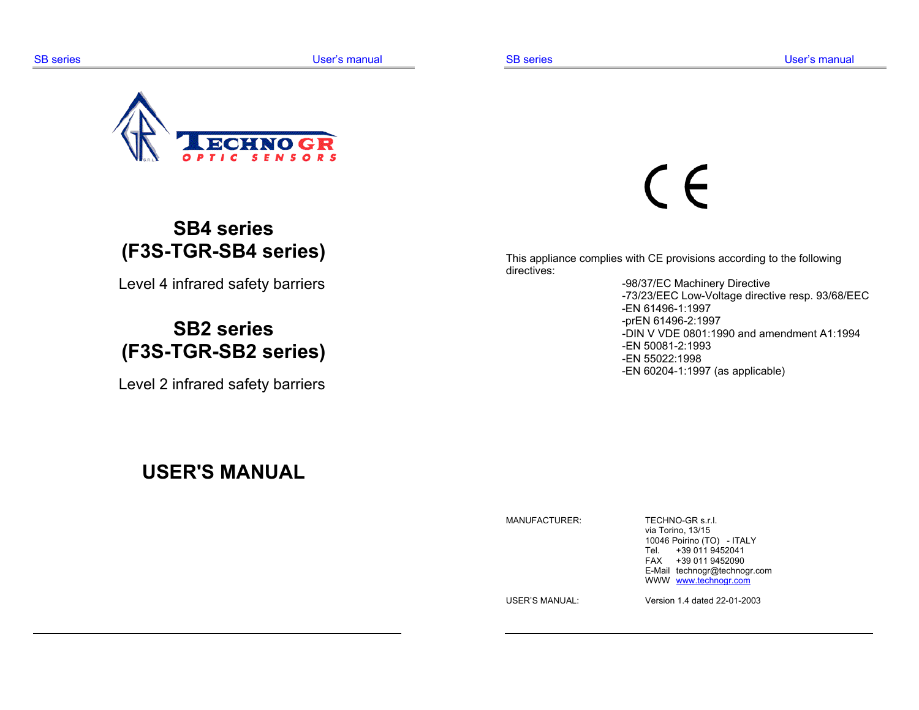

# **SB4 series (F3S-TGR-SB4 series)**

Level 4 infrared safety barriers

# **SB2 series (F3S-TGR-SB2 series)**

Level 2 infrared safety barriers

# $\epsilon$

This appliance complies with CE provisions according to the following directives:

 -98/37/EC Machinery Directive -73/23/EEC Low-Voltage directive resp. 93/68/EEC -EN 61496-1:1997 -prEN 61496-2:1997 -DIN V VDE 0801:1990 and amendment A1:1994 -EN 50081-2:1993 -EN 55022:1998 -EN 60204-1:1997 (as applicable)

## **USER'S MANUAL**

MANUFACTURER: TECHNO-GR s.r.l.

 via Torino, 13/15 10046 Poirino (TO) - ITALY Tel. +39 011 9452041 FAX +39 011 9452090 E-Mail technogr@technogr.com WWW www.technogr.com

USER'S MANUAL: Version 1.4 dated 22-01-2003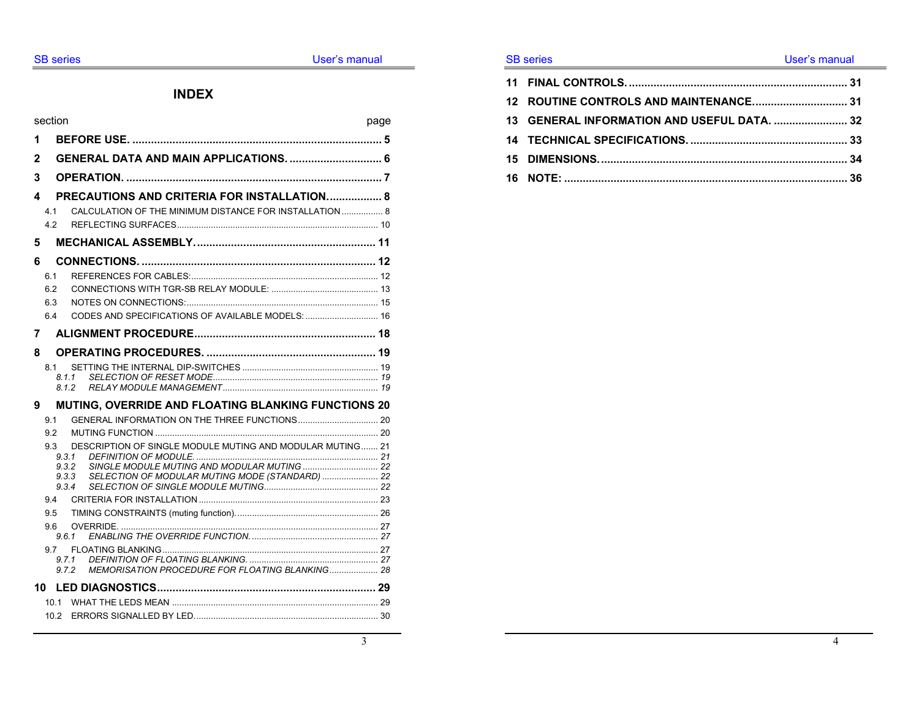#### **INDEX**

|   | section    |                                                                    | page |
|---|------------|--------------------------------------------------------------------|------|
| 1 |            |                                                                    |      |
| 2 |            | GENERAL DATA AND MAIN APPLICATIONS 6                               |      |
| 3 |            |                                                                    |      |
| 4 |            | PRECAUTIONS AND CRITERIA FOR INSTALLATION 8                        |      |
|   | 4.1        | CALCULATION OF THE MINIMUM DISTANCE FOR INSTALLATION  8            |      |
|   | 4.2        |                                                                    |      |
| 5 |            |                                                                    |      |
| 6 |            |                                                                    |      |
|   | 6.1        |                                                                    |      |
|   | 6.2        |                                                                    |      |
|   | 6.3        |                                                                    |      |
|   | 6.4        | CODES AND SPECIFICATIONS OF AVAILABLE MODELS:  16                  |      |
| 7 |            |                                                                    |      |
| 8 |            |                                                                    |      |
|   | 8.1        |                                                                    |      |
|   |            | 8.1.1                                                              |      |
|   |            | 8.1.2                                                              |      |
| 9 |            | MUTING, OVERRIDE AND FLOATING BLANKING FUNCTIONS 20                |      |
|   | 91         |                                                                    |      |
|   | 9.2        |                                                                    |      |
|   | 9.3        | DESCRIPTION OF SINGLE MODULE MUTING AND MODULAR MUTING 21<br>9.3.1 |      |
|   |            | 9.3.2                                                              |      |
|   |            | SELECTION OF MODULAR MUTING MODE (STANDARD)  22<br>9.3.3           |      |
|   |            | 934                                                                |      |
|   | 9.4<br>9.5 |                                                                    |      |
|   | 9.6        |                                                                    |      |
|   |            | 9.6.1                                                              |      |
|   | 97         |                                                                    |      |
|   |            | 9.7.1<br>MEMORISATION PROCEDURE FOR FLOATING BLANKING 28<br>9.7.2  |      |
|   |            |                                                                    |      |
|   | 10.1       |                                                                    |      |
|   | 10.2       |                                                                    |      |
|   |            |                                                                    |      |

#### SB series **EXECUTE:** The User's manual

| 13 GENERAL INFORMATION AND USEFUL DATA.  32 |  |
|---------------------------------------------|--|
|                                             |  |
|                                             |  |
|                                             |  |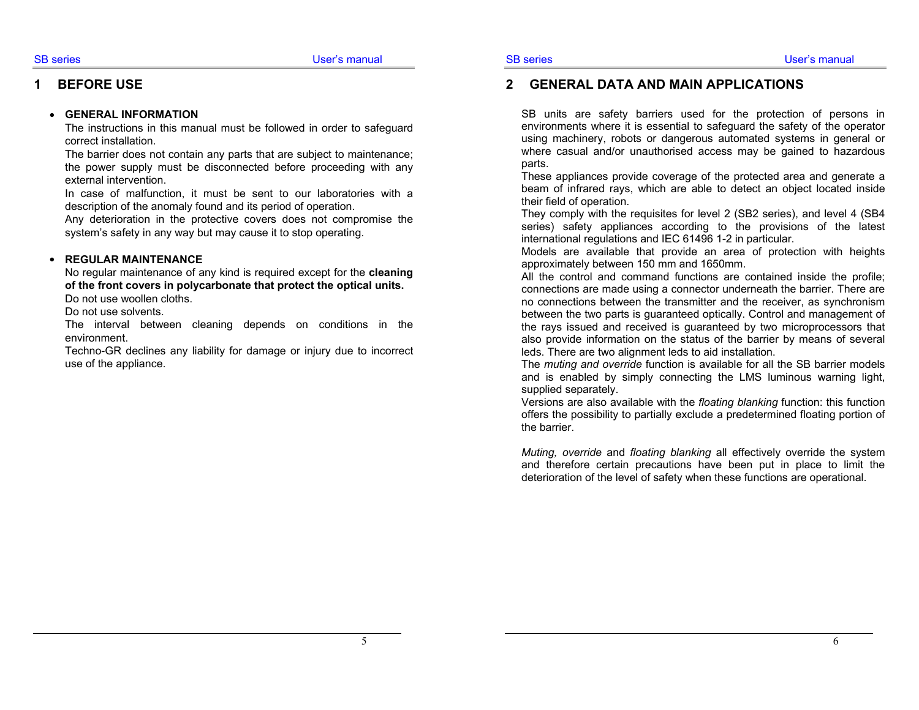## **1 BEFORE USE**

## • **GENERAL INFORMATION**

The instructions in this manual must be followed in order to safeguard correct installation.

The barrier does not contain any parts that are subject to maintenance; the power supply must be disconnected before proceeding with any external intervention.

In case of malfunction, it must be sent to our laboratories with a description of the anomaly found and its period of operation.

Any deterioration in the protective covers does not compromise the system's safety in any way but may cause it to stop operating.

#### • **REGULAR MAINTENANCE**

No regular maintenance of any kind is required except for the **cleaning of the front covers in polycarbonate that protect the optical units.**

Do not use woollen cloths.

Do not use solvents.

The interval between cleaning depends on conditions in the environment.

Techno-GR declines any liability for damage or injury due to incorrect use of the appliance.

#### **2 GENERAL DATA AND MAIN APPLICATIONS**

SB units are safety barriers used for the protection of persons in environments where it is essential to safeguard the safety of the operator using machinery, robots or dangerous automated systems in general or where casual and/or unauthorised access may be gained to hazardous parts.

These appliances provide coverage of the protected area and generate a beam of infrared rays, which are able to detect an object located inside their field of operation.

They comply with the requisites for level 2 (SB2 series), and level 4 (SB4 series) safety appliances according to the provisions of the latest international regulations and IEC 61496 1-2 in particular.

Models are available that provide an area of protection with heights approximately between 150 mm and 1650mm.

All the control and command functions are contained inside the profile; connections are made using a connector underneath the barrier. There are no connections between the transmitter and the receiver, as synchronism between the two parts is guaranteed optically. Control and management of the rays issued and received is guaranteed by two microprocessors that also provide information on the status of the barrier by means of several leds. There are two alignment leds to aid installation.

The *muting and override* function is available for all the SB barrier models and is enabled by simply connecting the LMS luminous warning light, supplied separately.

Versions are also available with the *floating blanking* function: this function offers the possibility to partially exclude a predetermined floating portion of the barrier.

*Muting, override* and *floating blanking* all effectively override the system and therefore certain precautions have been put in place to limit the deterioration of the level of safety when these functions are operational.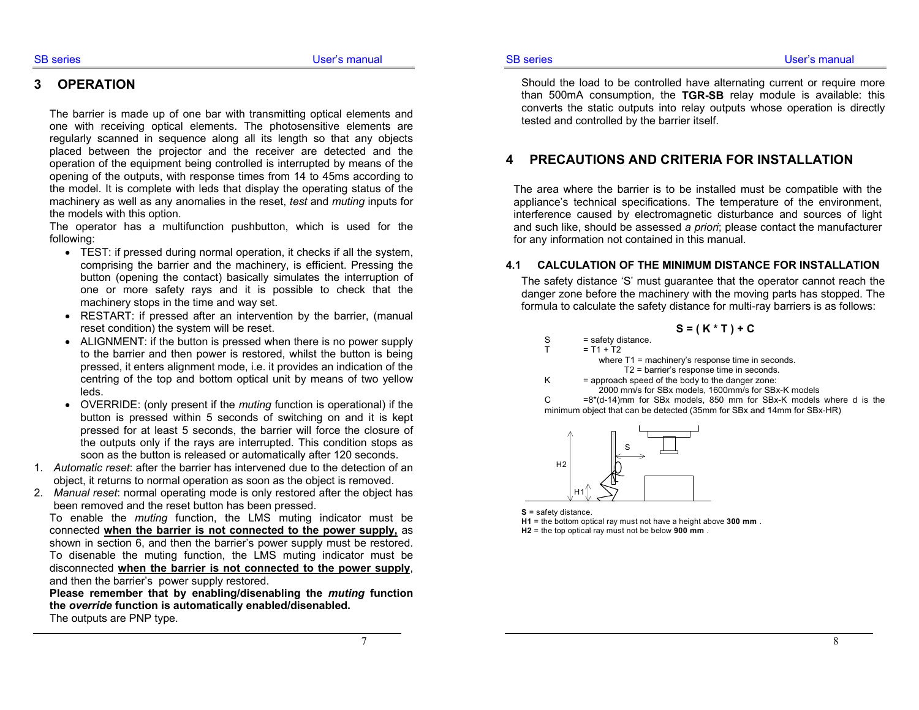#### **3 OPERATION**

The barrier is made up of one bar with transmitting optical elements and one with receiving optical elements. The photosensitive elements are regularly scanned in sequence along all its length so that any objects placed between the projector and the receiver are detected and the operation of the equipment being controlled is interrupted by means of the opening of the outputs, with response times from 14 to 45ms according to the model. It is complete with leds that display the operating status of the machinery as well as any anomalies in the reset, *test* and *muting* inputs for the models with this option.

The operator has a multifunction pushbutton, which is used for the following:

- TEST: if pressed during normal operation, it checks if all the system, comprising the barrier and the machinery, is efficient. Pressing the button (opening the contact) basically simulates the interruption of one or more safety rays and it is possible to check that the machinery stops in the time and way set.
- RESTART: if pressed after an intervention by the barrier, (manual reset condition) the system will be reset.
- ALIGNMENT: if the button is pressed when there is no power supply to the barrier and then power is restored, whilst the button is being pressed, it enters alignment mode, i.e. it provides an indication of the centring of the top and bottom optical unit by means of two yellow leds.
- OVERRIDE: (only present if the *muting* function is operational) if the button is pressed within 5 seconds of switching on and it is kept pressed for at least 5 seconds, the barrier will force the closure of the outputs only if the rays are interrupted. This condition stops as soon as the button is released or automatically after 120 seconds.
- 1. *Automatic reset*: after the barrier has intervened due to the detection of an object, it returns to normal operation as soon as the object is removed.
- 2. *Manual reset*: normal operating mode is only restored after the object has been removed and the reset button has been pressed.

To enable the *muting* function, the LMS muting indicator must be connected **when the barrier is not connected to the power supply,** as shown in section 6, and then the barrier's power supply must be restored. To disenable the muting function, the LMS muting indicator must be disconnected **when the barrier is not connected to the power supply**, and then the barrier's power supply restored.

**Please remember that by enabling/disenabling the** *muting* **function the** *override* **function is automatically enabled/disenabled.**  The outputs are PNP type.

Should the load to be controlled have alternating current or require more than 500mA consumption, the **TGR-SB** relay module is available: this converts the static outputs into relay outputs whose operation is directly tested and controlled by the barrier itself.

#### **4 PRECAUTIONS AND CRITERIA FOR INSTALLATION**

The area where the barrier is to be installed must be compatible with the appliance's technical specifications. The temperature of the environment, interference caused by electromagnetic disturbance and sources of light and such like, should be assessed *a priori*; please contact the manufacturer for any information not contained in this manual.

#### **4.1 CALCULATION OF THE MINIMUM DISTANCE FOR INSTALLATION**

The safety distance 'S' must guarantee that the operator cannot reach the danger zone before the machinery with the moving parts has stopped. The formula to calculate the safety distance for multi-ray barriers is as follows:

S = 
$$
(K * T) + C
$$
  
\nS = safety distance.  
\nT = T1 + T2  
\nwhere T1 = machinery's response time in seconds.  
\nT2 = barrier's response time in seconds.  
\nK = approach speed of the body to the danger zone:

2000 mm/s for SBx models, 1600mm/s for SBx-K models

C  $=8*(d-14)$ mm for SBx models, 850 mm for SBx-K models where d is the minimum object that can be detected (35mm for SBx and 14mm for SBx-HR)



 $= T1$ 

**S** = safety distance.

**H1** = the bottom optical ray must not have a height above **300 mm** . **H2** = the top optical ray must not be below **900 mm** .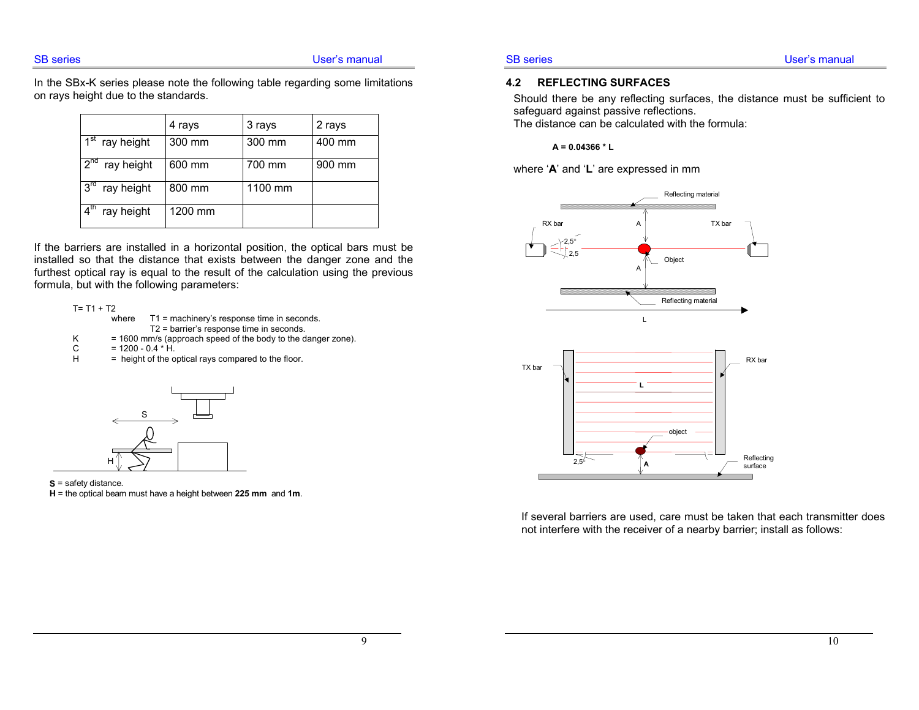In the SBx-K series please note the following table regarding some limitations on rays height due to the standards.

|                                       | 4 rays  | 3 rays  | 2 rays |
|---------------------------------------|---------|---------|--------|
| $\overline{1}^{\text{st}}$ ray height | 300 mm  | 300 mm  | 400 mm |
| $2^{n\overline{d}}$<br>ray height     | 600 mm  | 700 mm  | 900 mm |
| $3^{\text{ra}}$<br>ray height         | 800 mm  | 1100 mm |        |
| $\Lambda^{\text{In}}$<br>ray height   | 1200 mm |         |        |

If the barriers are installed in a horizontal position, the optical bars must be installed so that the distance that exists between the danger zone and the furthest optical ray is equal to the result of the calculation using the previous formula, but with the following parameters:





#### **S** = safety distance.

**H** = the optical beam must have a height between **225 mm** and **1m**.

#### **4.2 REFLECTING SURFACES**

Should there be any reflecting surfaces, the distance must be sufficient to safeguard against passive reflections.

The distance can be calculated with the formula:

 $A = 0.04366 * L$ 

where ' **A**' and ' **L**' are expressed in mm



If several barriers are used, care must be taken that each transmitter does not interfere with the receiver of a nearby barrier; install as follows: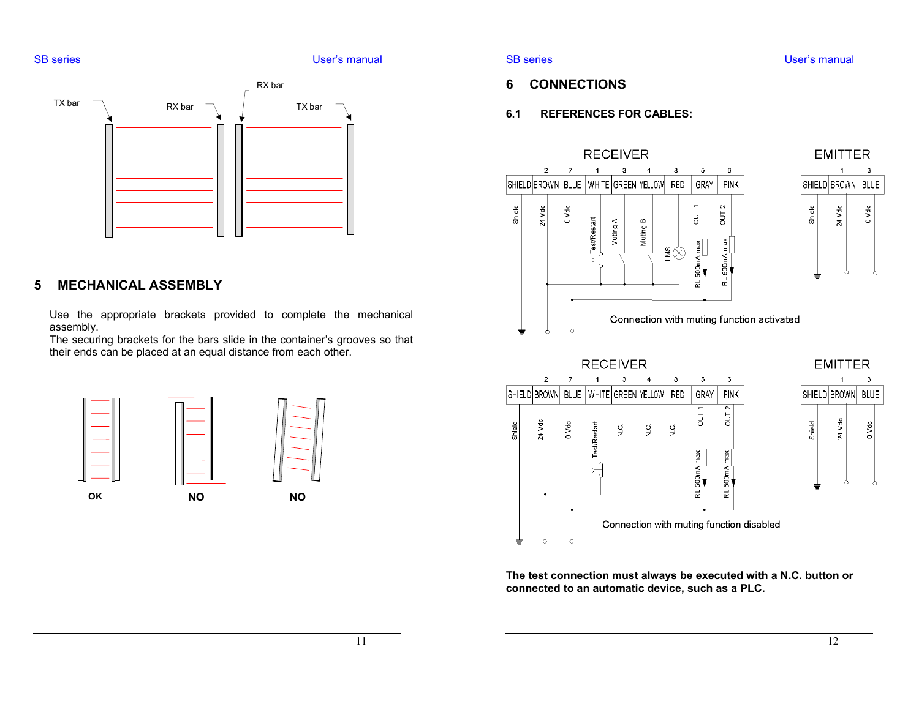# SB series **Example 20** and the User's manual RX bar<code>TX bar  $\bigcap$  RX bar  $\bigcap$  IX bar</code> RX bar

## **5 MECHANICAL ASSEMBLY**

Use the appropriate brackets provided to complete the mechanical assembly.

The securing brackets for the bars slide in the container's grooves so that their ends can be placed at an equal distance from each other.



## **6 CONNECTIONS**

#### **6.1 REFERENCES FOR CABLES:**



**EMITTER** 3 SHIELD BROWN BLUE Shield 24 Vdc 0 Vdc ⇟



**The test connection must always be executed with a N.C. button or connected to an automatic device, such as a PLC.**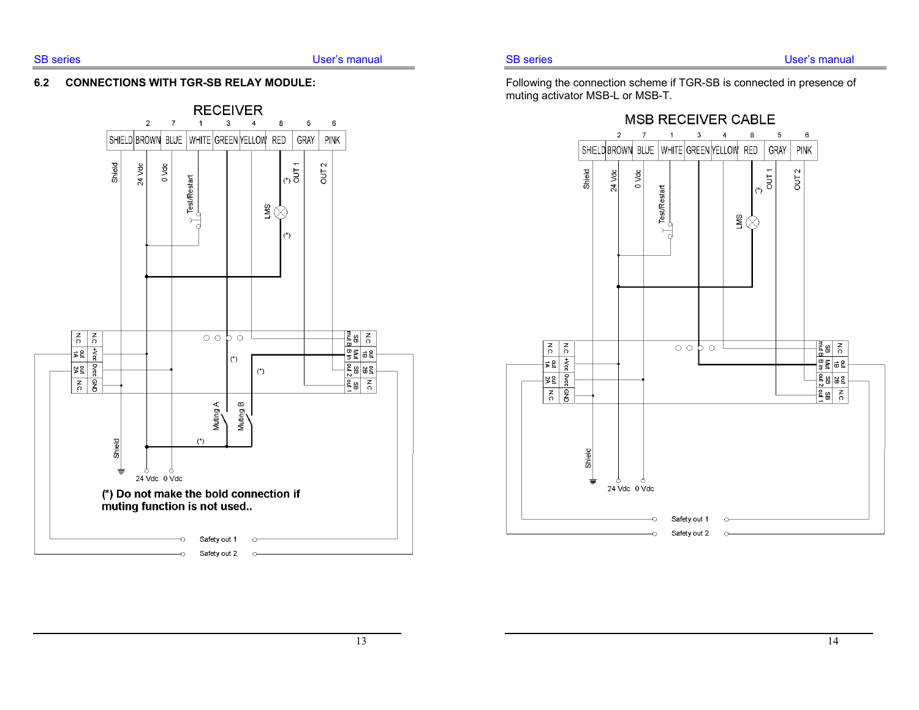#### **6.2 CONNECTIONS WITH TGR-SB RELAY MODULE:**



Following the connection scheme if TGR-SB is connected in presence of muting activator MSB-L or MSB-T.

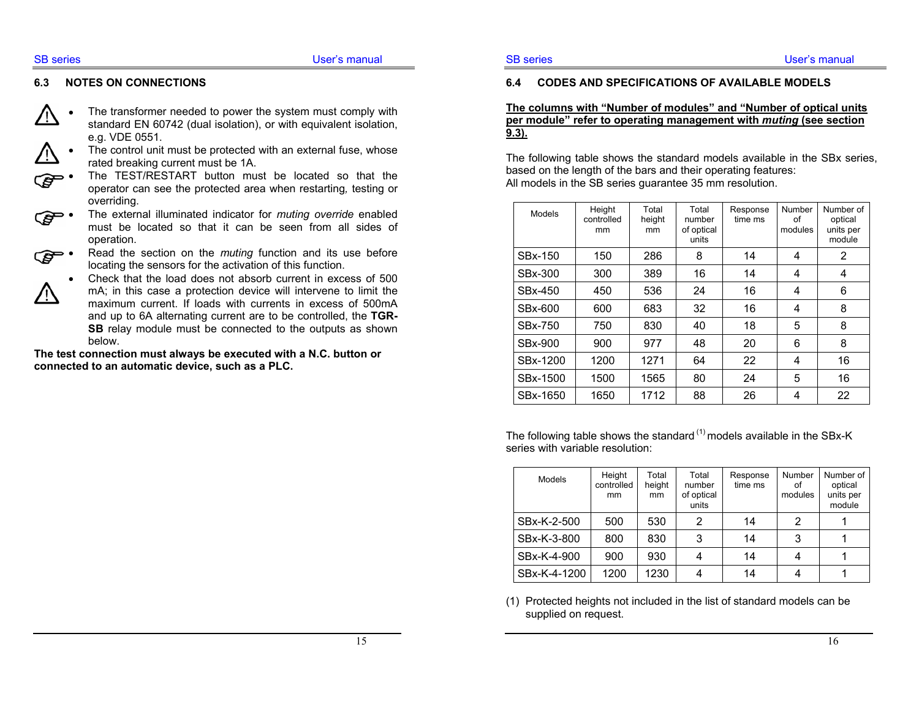#### **6.3 NOTES ON CONNECTIONS**

- The transformer needed to power the system must comply with standard EN 60742 (dual isolation), or with equivalent isolation, e.g. VDE 0551.
- The control unit must be protected with an external fuse, whose rated breaking current must be 1A.
- The TEST/RESTART button must be located so that the operator can see the protected area when restarting*,* testing or overriding.
- The external illuminated indicator for *muting override* enabled must be located so that it can be seen from all sides of operation.
- Read the section on the *muting* function and its use before locating the sensors for the activation of this function.
	- Check that the load does not absorb current in excess of 500 mA; in this case a protection device will intervene to limit the maximum current. If loads with currents in excess of 500mA and up to 6A alternating current are to be controlled, the **TGR-SB** relay module must be connected to the outputs as shown below.

**The test connection must always be executed with a N.C. button or connected to an automatic device, such as a PLC.** 

#### **6.4 CODES AND SPECIFICATIONS OF AVAILABLE MODELS**

#### **The columns with "Number of modules" and "Number of optical units per module" refer to operating management with** *muting* **(see section 9.3).**

The following table shows the standard models available in the SBx series, based on the length of the bars and their operating features: All models in the SB series guarantee 35 mm resolution.

| Models   | Height<br>controlled<br>mm | Total<br>height<br>mm | Total<br>number<br>of optical<br>units | Response<br>time ms | <b>Number</b><br>οf<br>modules | Number of<br>optical<br>units per<br>module |
|----------|----------------------------|-----------------------|----------------------------------------|---------------------|--------------------------------|---------------------------------------------|
| SBx-150  | 150                        | 286                   | 8                                      | 14                  | 4                              | 2                                           |
| SBx-300  | 300                        | 389                   | 16                                     | 14                  | 4                              | 4                                           |
| SBx-450  | 450                        | 536                   | 24                                     | 16                  | 4                              | 6                                           |
| SBx-600  | 600                        | 683                   | 32                                     | 16                  | 4                              | 8                                           |
| SBx-750  | 750                        | 830                   | 40                                     | 18                  | 5                              | 8                                           |
| SBx-900  | 900                        | 977                   | 48                                     | 20                  | 6                              | 8                                           |
| SBx-1200 | 1200                       | 1271                  | 64                                     | 22                  | 4                              | 16                                          |
| SBx-1500 | 1500                       | 1565                  | 80                                     | 24                  | 5                              | 16                                          |
| SBx-1650 | 1650                       | 1712                  | 88                                     | 26                  | 4                              | 22                                          |

The following table shows the standard  $(1)$  models available in the SBx-K series with variable resolution:

| Models       | Height<br>controlled<br>mm | Total<br>height<br>mm | Total<br>number<br>of optical<br>units | Response<br>time ms | Number<br>οf<br>modules | Number of<br>optical<br>units per<br>module |
|--------------|----------------------------|-----------------------|----------------------------------------|---------------------|-------------------------|---------------------------------------------|
| SBx-K-2-500  | 500                        | 530                   | 2                                      | 14                  | 2                       |                                             |
| SBx-K-3-800  | 800                        | 830                   | 3                                      | 14                  | 3                       |                                             |
| SBx-K-4-900  | 900                        | 930                   |                                        | 14                  |                         |                                             |
| SBx-K-4-1200 | 1200                       | 1230                  |                                        | 14                  |                         |                                             |

(1) Protected heights not included in the list of standard models can be supplied on request.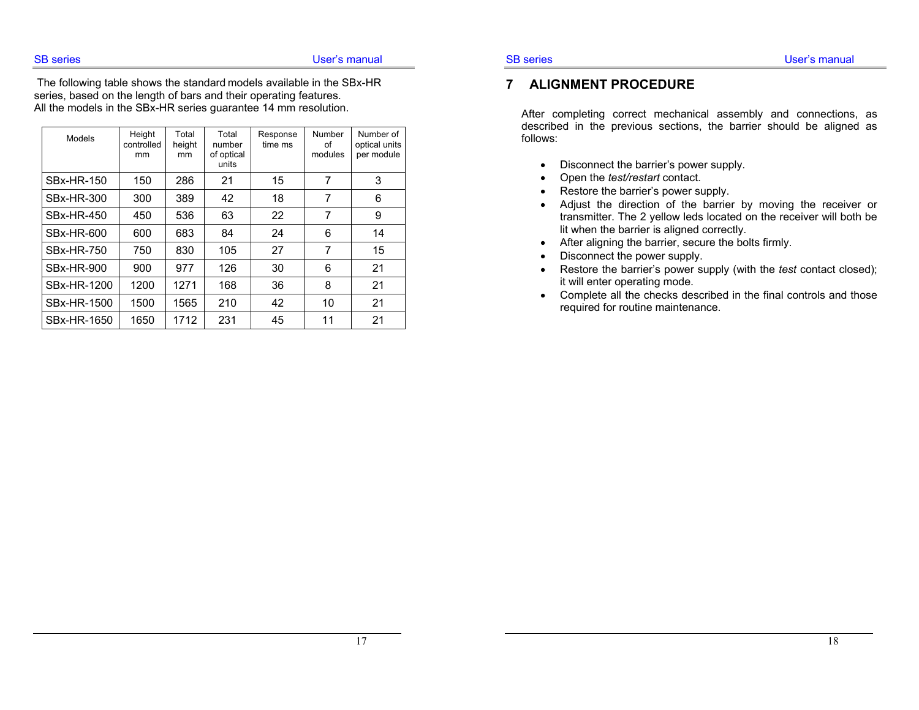The following table shows the standard models available in the SBx-HR series, based on the length of bars and their operating features. All the models in the SBx-HR series guarantee 14 mm resolution.

| Models             | Height<br>controlled<br>mm | Total<br>height<br>mm | Total<br>number<br>of optical<br>units | Response<br>time ms | Number<br>οf<br>modules | Number of<br>optical units<br>per module |
|--------------------|----------------------------|-----------------------|----------------------------------------|---------------------|-------------------------|------------------------------------------|
| <b>SBx-HR-150</b>  | 150                        | 286                   | 21                                     | 15                  | 7                       | 3                                        |
| <b>SBx-HR-300</b>  | 300                        | 389                   | 42                                     | 18                  | 7                       | 6                                        |
| <b>SBx-HR-450</b>  | 450                        | 536                   | 63                                     | 22                  | 7                       | 9                                        |
| <b>SBx-HR-600</b>  | 600                        | 683                   | 84                                     | 24                  | 6                       | 14                                       |
| <b>SBx-HR-750</b>  | 750                        | 830                   | 105                                    | 27                  | 7                       | 15                                       |
| <b>SBx-HR-900</b>  | 900                        | 977                   | 126                                    | 30                  | 6                       | 21                                       |
| SBx-HR-1200        | 1200                       | 1271                  | 168                                    | 36                  | 8                       | 21                                       |
| <b>SBx-HR-1500</b> | 1500                       | 1565                  | 210                                    | 42                  | 10                      | 21                                       |
| SBx-HR-1650        | 1650                       | 1712                  | 231                                    | 45                  | 11                      | 21                                       |

#### **7 ALIGNMENT PROCEDURE**

After completing correct mechanical assembly and connections, as described in the previous sections, the barrier should be aligned as follows:

- Disconnect the barrier's power supply.
- Open the *test/restart* contact.
- Restore the barrier's power supply.
- Adjust the direction of the barrier by moving the receiver or transmitter. The 2 yellow leds located on the receiver will both be lit when the barrier is aligned correctly.
- After aligning the barrier, secure the bolts firmly.
- Disconnect the power supply.
- Restore the barrier's power supply (with the *test* contact closed); it will enter operating mode.
- Complete all the checks described in the final controls and those required for routine maintenance.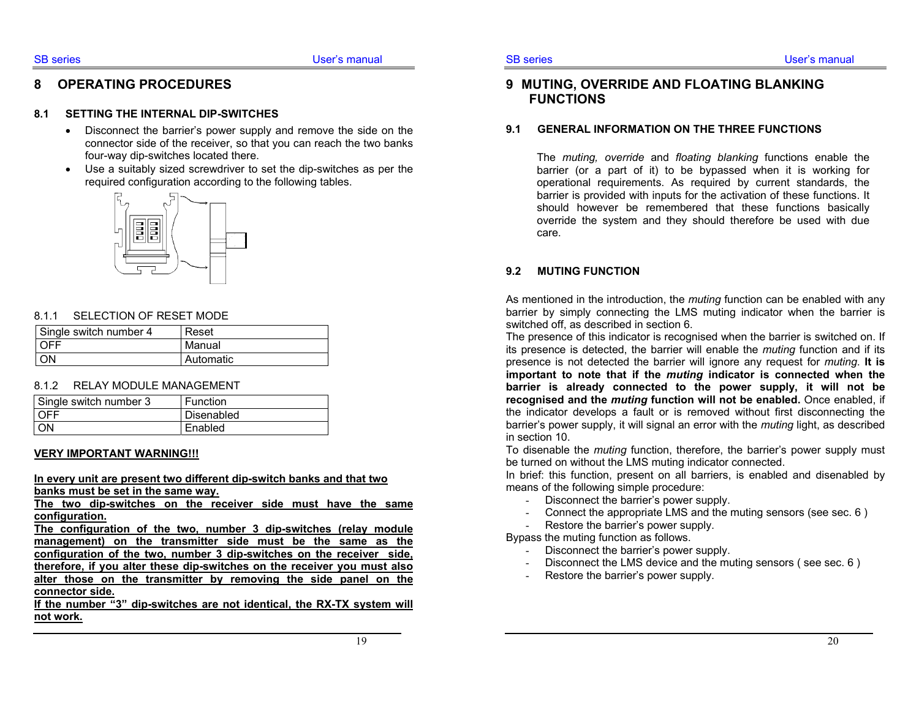### **8 OPERATING PROCEDURES**

#### **8.1 SETTING THE INTERNAL DIP-SWITCHES**

- Disconnect the barrier's power supply and remove the side on the connector side of the receiver, so that you can reach the two banks four-way dip-switches located there.
- Use a suitably sized screwdriver to set the dip-switches as per the required configuration according to the following tables.



#### 8.1.1 SELECTION OF RESET MODE

| Single switch number 4 | Reset     |
|------------------------|-----------|
| LOEE                   | Manual    |
| I ON                   | Automatic |

#### 8.1.2 RELAY MODULE MANAGEMENT

| Single switch number 3 | Function   |
|------------------------|------------|
| l OFF                  | Disenabled |
| <b>ON</b>              | Enabled    |

#### **VERY IMPORTANT WARNING!!!**

**In every unit are present two different dip-switch banks and that two banks must be set in the same way.**

**The two dip-switches on the receiver side must have the same configuration.**

**The configuration of the two, number 3 dip-switches (relay module management) on the transmitter side must be the same as the configuration of the two, number 3 dip-switches on the receiver side, therefore, if you alter these dip-switches on the receiver you must also alter those on the transmitter by removing the side panel on the connector side.** 

**If the number "3" dip-switches are not identical, the RX-TX system will not work.**

## **9 MUTING, OVERRIDE AND FLOATING BLANKING FUNCTIONS**

#### **9.1 GENERAL INFORMATION ON THE THREE FUNCTIONS**

The *muting, override* and *floating blanking* functions enable the barrier (or a part of it) to be bypassed when it is working for operational requirements. As required by current standards, the barrier is provided with inputs for the activation of these functions. It should however be remembered that these functions basically override the system and they should therefore be used with due care.

#### **9.2 MUTING FUNCTION**

As mentioned in the introduction, the *muting* function can be enabled with any barrier by simply connecting the LMS muting indicator when the barrier is switched off, as described in section 6.

The presence of this indicator is recognised when the barrier is switched on. If its presence is detected, the barrier will enable the *muting* function and if its presence is not detected the barrier will ignore any request for *muting*. **It is important to note that if the** *muting* **indicator is connected when the barrier is already connected to the power supply, it will not be recognised and the** *muting* **function will not be enabled.** Once enabled, if the indicator develops a fault or is removed without first disconnecting the barrier's power supply, it will signal an error with the *muting* light, as described in section 10.

To disenable the *muting* function, therefore, the barrier's power supply must be turned on without the LMS muting indicator connected.

In brief: this function, present on all barriers, is enabled and disenabled by means of the following simple procedure:

- Disconnect the barrier's power supply.
- Connect the appropriate LMS and the muting sensors (see sec. 6 )
- Restore the barrier's power supply.

Bypass the muting function as follows.

- Disconnect the barrier's power supply.
- Disconnect the LMS device and the muting sensors ( see sec. 6 )
- Restore the barrier's power supply.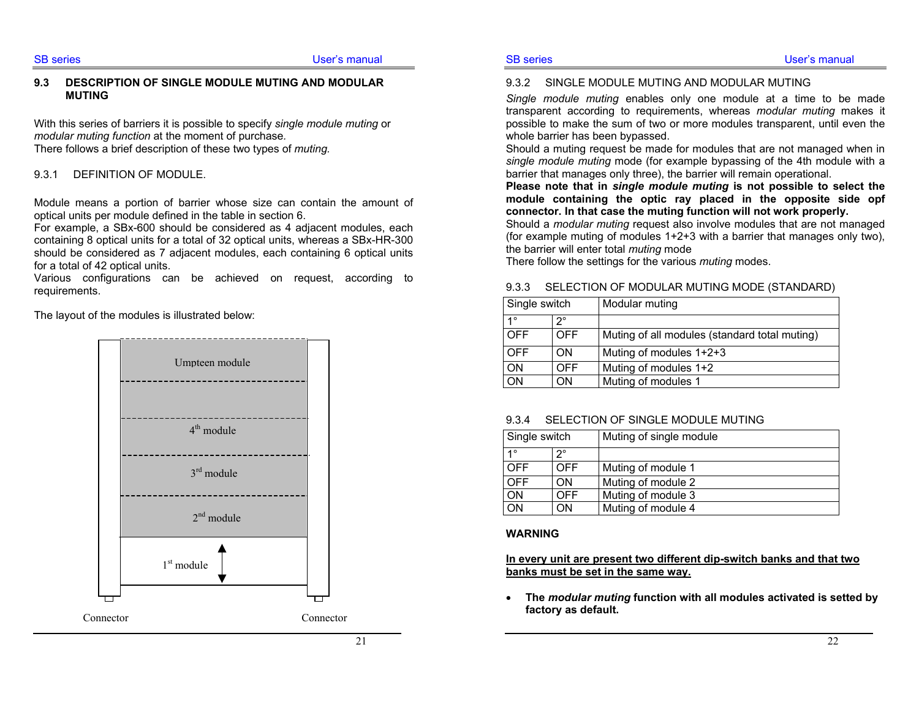#### **9.3 DESCRIPTION OF SINGLE MODULE MUTING AND MODULAR MUTING**

With this series of barriers it is possible to specify *single module muting* or *modular muting function* at the moment of purchase*.*  There follows a brief description of these two types of *muting.*

#### 9.3.1 DEFINITION OF MODULE.

Module means a portion of barrier whose size can contain the amount of optical units per module defined in the table in section 6.

For example, a SBx-600 should be considered as 4 adjacent modules, each containing 8 optical units for a total of 32 optical units, whereas a SBx-HR-300 should be considered as 7 adjacent modules, each containing 6 optical units for a total of 42 optical units.

Various configurations can be achieved on request, according to requirements.

The layout of the modules is illustrated below:



#### 9.3.2 SINGLE MODULE MUTING AND MODULAR MUTING

*Single module muting* enables only one module at a time to be made transparent according to requirements, whereas *modular muting* makes it possible to make the sum of two or more modules transparent, until even the whole barrier has been bypassed.

Should a muting request be made for modules that are not managed when in *single module muting* mode (for example bypassing of the 4th module with a barrier that manages only three), the barrier will remain operational.

**Please note that in** *single module muting* **is not possible to select the module containing the optic ray placed in the opposite side opf connector. In that case the muting function will not work properly.** 

Should a *modular muting* request also involve modules that are not managed (for example muting of modules 1+2+3 with a barrier that manages only two), the barrier will enter total *muting* mode

There follow the settings for the various *muting* modes.

#### 9.3.3 SELECTION OF MODULAR MUTING MODE (STANDARD)

| Single switch |     | Modular muting                                |
|---------------|-----|-----------------------------------------------|
| $1^{\circ}$   | າ°  |                                               |
| <b>OFF</b>    | OFF | Muting of all modules (standard total muting) |
| <b>OFF</b>    | ON  | Muting of modules 1+2+3                       |
| <b>ON</b>     | OFF | Muting of modules 1+2                         |
| <b>ON</b>     | OΝ  | Muting of modules 1                           |

#### 9.3.4 SELECTION OF SINGLE MODULE MUTING

| Single switch |            | Muting of single module |
|---------------|------------|-------------------------|
| 10            | າ∘         |                         |
| <b>OFF</b>    | OFF.       | Muting of module 1      |
| OFF           | OΝ         | Muting of module 2      |
| <b>ON</b>     | <b>OFF</b> | Muting of module 3      |
| OΝ            | OΝ         | Muting of module 4      |

#### **WARNING**

**In every unit are present two different dip-switch banks and that two banks must be set in the same way.**

• **The** *modular muting* **function with all modules activated is setted by factory as default.**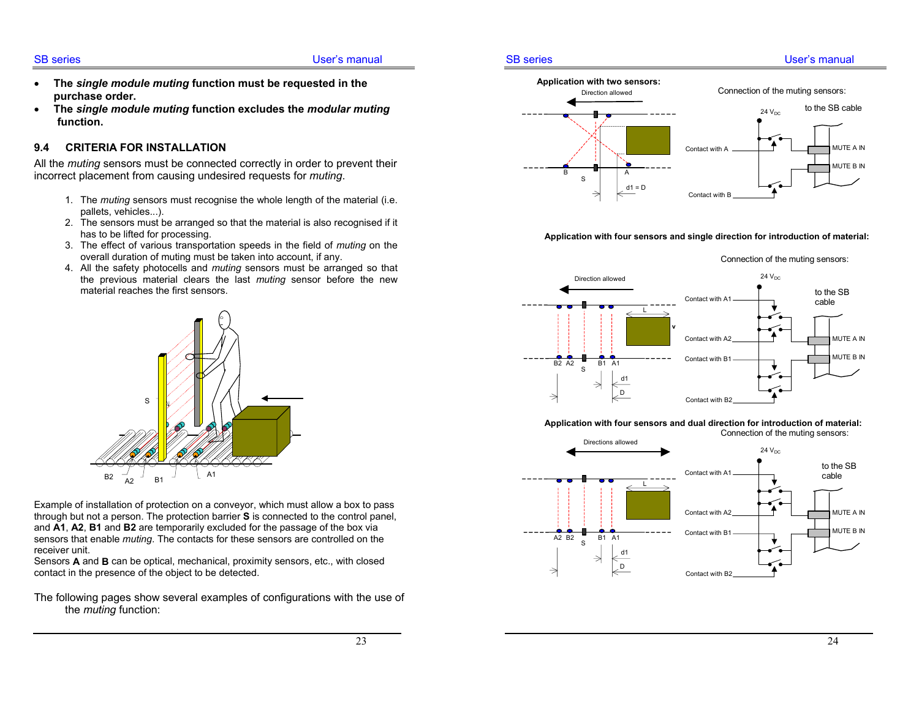#### SB series **User's manual**

- **The** *single module muting* **function must be requested in the purchase order.**
- **The** *single module muting* **function excludes the** *modular muting*  **function.**

#### **9.4 CRITERIA FOR INSTALLATION**

All the *muting* sensors must be connected correctly in order to prevent their incorrect placement from causing undesired requests for *muting*.

- 1. The *muting* sensors must recognise the whole length of the material (i.e. pallets, vehicles...).
- 2. The sensors must be arranged so that the material is also recognised if it has to be lifted for processing.
- 3. The effect of various transportation speeds in the field of *muting* on the overall duration of muting must be taken into account, if any.
- 4. All the safety photocells and *muting* sensors must be arranged so that the previous material clears the last *muting* sensor before the new material reaches the first sensors.



Example of installation of protection on a conveyor, which must allow a box to pass through but not a person. The protection barrier **S** is connected to the control panel, and **A1**, **A2**, **B1** and **B2** are temporarily excluded for the passage of the box via sensors that enable *muting*. The contacts for these sensors are controlled on the receiver unit.

Sensors **A** and **B** can be optical, mechanical, proximity sensors, etc., with closed contact in the presence of the object to be detected.

The following pages show several examples of configurations with the use of the *muting* function:

#### SB series User's manual



#### **Application with four sensors and single direction for introduction of material:**

#### Connection of the muting sensors:



**Application with four sensors and dual direction for introduction of material:** 

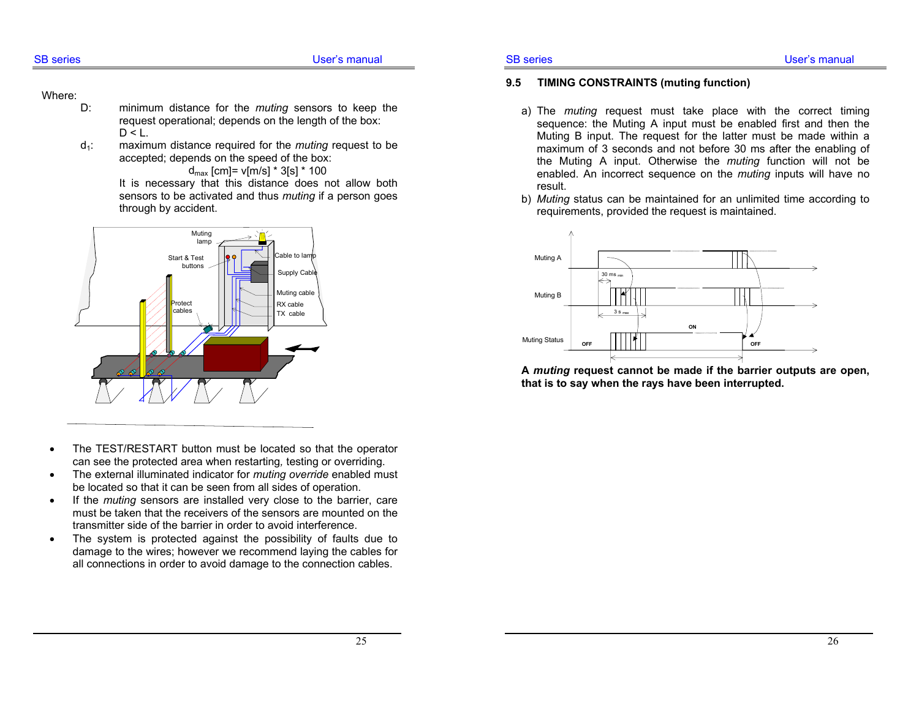#### Where:

- D: minimum distance for the *muting* sensors to keep the request operational; depends on the length of the box:  $D < L$ .
- d1: maximum distance required for the *muting* request to be accepted; depends on the speed of the box:

 $d_{max}$  [cm]=  $v$ [m/s] \* 3[s] \* 100

 It is necessary that this distance does not allow both sensors to be activated and thus *muting* if a person goes through by accident.



- The TEST/RESTART button must be located so that the operator can see the protected area when restarting*,* testing or overriding.
- The external illuminated indicator for *muting override* enabled must be located so that it can be seen from all sides of operation.
- If the *muting* sensors are installed very close to the barrier, care must be taken that the receivers of the sensors are mounted on the transmitter side of the barrier in order to avoid interference.
- The system is protected against the possibility of faults due to damage to the wires; however we recommend laying the cables for all connections in order to avoid damage to the connection cables.

#### SB series **EXECUTE:** The User's manual

#### **9.5 TIMING CONSTRAINTS (muting function)**

- a) The *muting* request must take place with the correct timing sequence: the Muting A input must be enabled first and then the Muting B input. The request for the latter must be made within a maximum of 3 seconds and not before 30 ms after the enabling of the Muting A input. Otherwise the *muting* function will not be enabled. An incorrect sequence on the *muting* inputs will have no result.
- b) *Muting* status can be maintained for an unlimited time according to requirements, provided the request is maintained.



**A** *muting* **request cannot be made if the barrier outputs are open, that is to say when the rays have been interrupted.**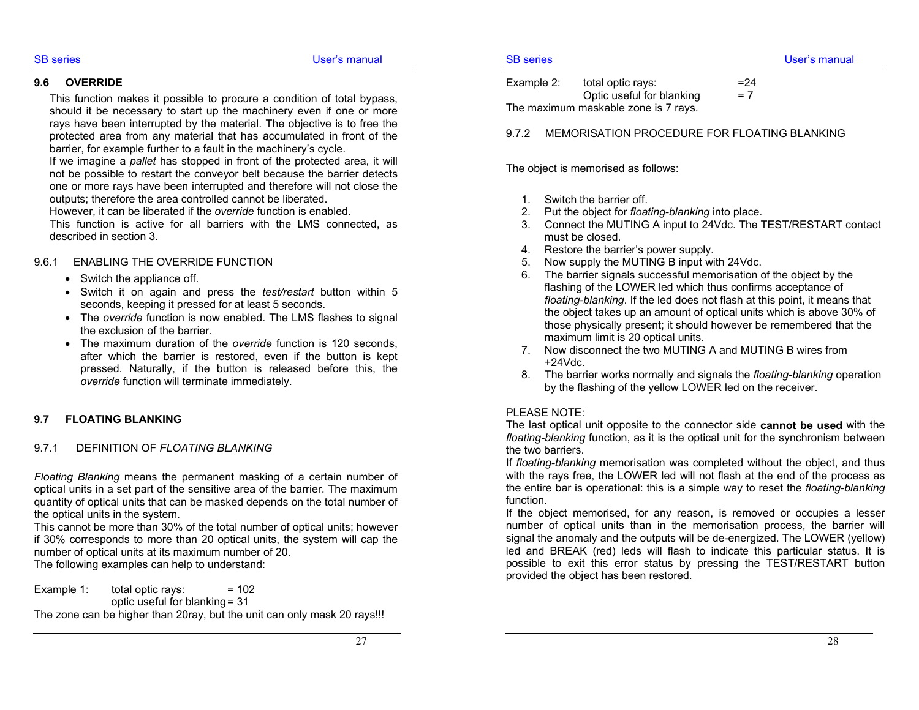**9.6 OVERRIDE** 

#### This function makes it possible to procure a condition of total bypass, should it be necessary to start up the machinery even if one or more rays have been interrupted by the material. The objective is to free the protected area from any material that has accumulated in front of the barrier, for example further to a fault in the machinery's cycle.

If we imagine a *pallet* has stopped in front of the protected area, it will not be possible to restart the conveyor belt because the barrier detects one or more rays have been interrupted and therefore will not close the outputs; therefore the area controlled cannot be liberated.

However, it can be liberated if the *override* function is enabled.

This function is active for all barriers with the LMS connected, as described in section 3.

### 9.6.1 ENABLING THE OVERRIDE FUNCTION

- Switch the appliance off.
- Switch it on again and press the *test/restart* button within 5 seconds, keeping it pressed for at least 5 seconds.
- The *override* function is now enabled. The LMS flashes to signal the exclusion of the barrier.
- The maximum duration of the *override* function is 120 seconds, after which the barrier is restored, even if the button is kept pressed. Naturally, if the button is released before this, the *override* function will terminate immediately.

## **9.7 FLOATING BLANKING**

## 9.7.1 DEFINITION OF *FLOATING BLANKING*

*Floating Blanking* means the permanent masking of a certain number of optical units in a set part of the sensitive area of the barrier. The maximum quantity of optical units that can be masked depends on the total number of the optical units in the system.

This cannot be more than 30% of the total number of optical units; however if 30% corresponds to more than 20 optical units, the system will cap the number of optical units at its maximum number of 20.

The following examples can help to understand:

Example 1: total optic rays:  $= 102$ optic useful for blanking = 31 The zone can be higher than 20ray, but the unit can only mask 20 rays!!!

Example 2: total optic rays:  $=24$ Optic useful for blanking  $= 7$ The maximum maskable zone is 7 rays.

9.7.2 MEMORISATION PROCEDURE FOR FLOATING BLANKING

The object is memorised as follows:

- 1. Switch the barrier off.
- 2. Put the object for *floating-blanking* into place.
- 3. Connect the MUTING A input to 24Vdc. The TEST/RESTART contact must be closed.
- 4. Restore the barrier's power supply.
- 5. Now supply the MUTING B input with 24Vdc.
- 6. The barrier signals successful memorisation of the object by the flashing of the LOWER led which thus confirms acceptance of *floating-blanking*. If the led does not flash at this point, it means that the object takes up an amount of optical units which is above 30% of those physically present; it should however be remembered that the maximum limit is 20 optical units.
- 7. Now disconnect the two MUTING A and MUTING B wires from +24Vdc.
- 8. The barrier works normally and signals the *floating-blanking* operation by the flashing of the yellow LOWER led on the receiver.

## PLEASE NOTE:

The last optical unit opposite to the connector side **cannot be used** with the *floating-blanking* function, as it is the optical unit for the synchronism between the two barriers.

If *floating-blanking* memorisation was completed without the object, and thus with the rays free, the LOWER led will not flash at the end of the process as the entire bar is operational: this is a simple way to reset the *floating-blanking* function.

If the object memorised, for any reason, is removed or occupies a lesser number of optical units than in the memorisation process, the barrier will signal the anomaly and the outputs will be de-energized. The LOWER (yellow) led and BREAK (red) leds will flash to indicate this particular status. It is possible to exit this error status by pressing the TEST/RESTART button provided the object has been restored.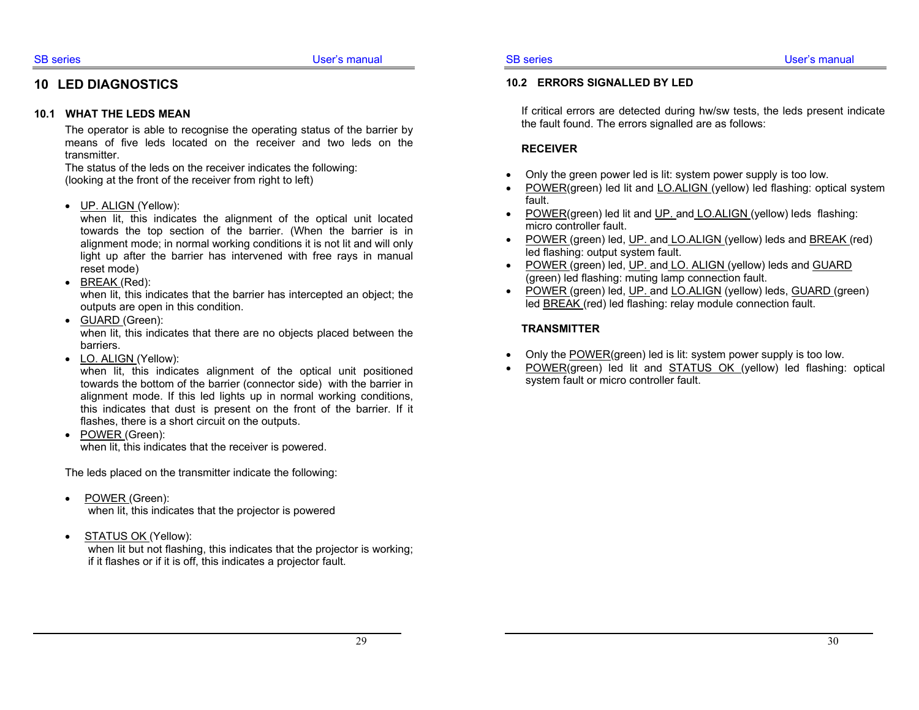## **10 LED DIAGNOSTICS**

#### **10.1 WHAT THE LEDS MEAN**

The operator is able to recognise the operating status of the barrier by means of five leds located on the receiver and two leds on the transmitter.

The status of the leds on the receiver indicates the following: (looking at the front of the receiver from right to left)

• UP. ALIGN (Yellow):

when lit, this indicates the alignment of the optical unit located towards the top section of the barrier. (When the barrier is in alignment mode; in normal working conditions it is not lit and will only light up after the barrier has intervened with free rays in manual reset mode)

• BREAK (Red):

when lit, this indicates that the barrier has intercepted an object; the outputs are open in this condition.

- GUARD (Green): when lit, this indicates that there are no objects placed between the barriers.
- LO. ALIGN (Yellow):

when lit, this indicates alignment of the optical unit positioned towards the bottom of the barrier (connector side) with the barrier in alignment mode. If this led lights up in normal working conditions, this indicates that dust is present on the front of the barrier. If it flashes, there is a short circuit on the outputs.

• POWER (Green): when lit, this indicates that the receiver is powered.

The leds placed on the transmitter indicate the following:

- POWER (Green): when lit, this indicates that the projector is powered
- STATUS OK (Yellow):

when lit but not flashing, this indicates that the projector is working; if it flashes or if it is off, this indicates a projector fault.

#### **10.2 ERRORS SIGNALLED BY LED**

If critical errors are detected during hw/sw tests, the leds present indicate the fault found. The errors signalled are as follows:

#### **RECEIVER**

- Only the green power led is lit: system power supply is too low.
- POWER(green) led lit and LO.ALIGN (yellow) led flashing: optical system fault.
- POWER(green) led lit and UP. and LO.ALIGN (yellow) leds flashing: micro controller fault.
- POWER (green) led, UP. and LO.ALIGN (yellow) leds and BREAK (red) led flashing: output system fault.
- POWER (green) led, UP. and LO. ALIGN (yellow) leds and GUARD (green) led flashing: muting lamp connection fault.
- POWER (green) led, UP. and LO.ALIGN (yellow) leds, GUARD (green) led BREAK (red) led flashing: relay module connection fault.

#### **TRANSMITTER**

- Only the POWER(green) led is lit: system power supply is too low.
- POWER(green) led lit and STATUS OK (yellow) led flashing: optical system fault or micro controller fault.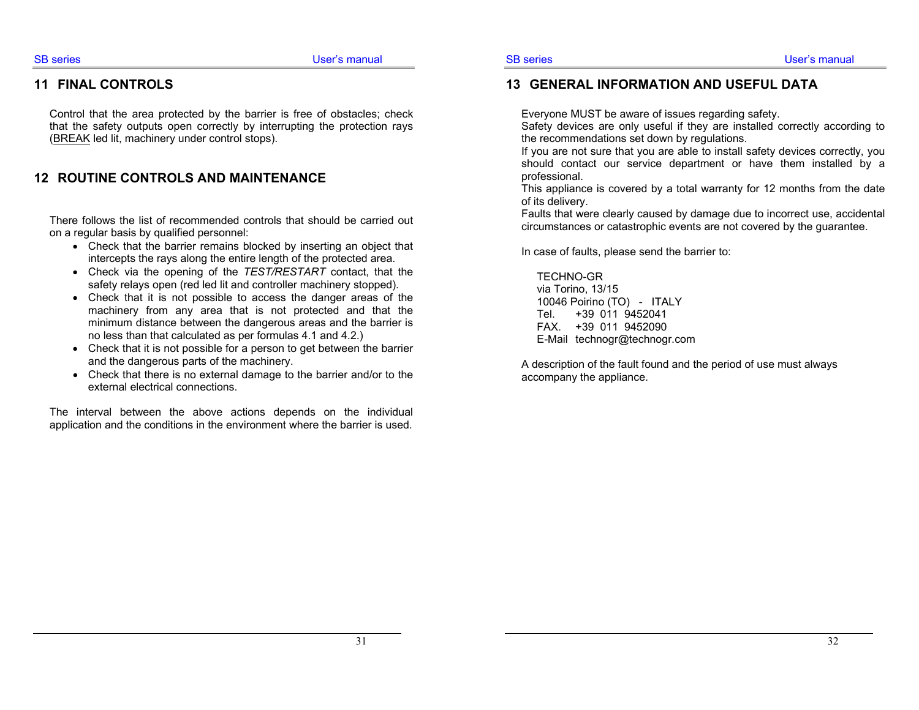#### **11 FINAL CONTROLS**

Control that the area protected by the barrier is free of obstacles; check that the safety outputs open correctly by interrupting the protection rays (BREAK led lit, machinery under control stops).

### **12 ROUTINE CONTROLS AND MAINTENANCE**

There follows the list of recommended controls that should be carried out on a regular basis by qualified personnel:

- Check that the barrier remains blocked by inserting an object that intercepts the rays along the entire length of the protected area.
- Check via the opening of the *TEST/RESTART* contact, that the safety relays open (red led lit and controller machinery stopped).
- Check that it is not possible to access the danger areas of the machinery from any area that is not protected and that the minimum distance between the dangerous areas and the barrier is no less than that calculated as per formulas 4.1 and 4.2.)
- Check that it is not possible for a person to get between the barrier and the dangerous parts of the machinery.
- Check that there is no external damage to the barrier and/or to the external electrical connections.

The interval between the above actions depends on the individual application and the conditions in the environment where the barrier is used.

#### **13 GENERAL INFORMATION AND USEFUL DATA**

Everyone MUST be aware of issues regarding safety.

Safety devices are only useful if they are installed correctly according to the recommendations set down by regulations.

If you are not sure that you are able to install safety devices correctly, you should contact our service department or have them installed by a professional.

This appliance is covered by a total warranty for 12 months from the date of its delivery.

Faults that were clearly caused by damage due to incorrect use, accidental circumstances or catastrophic events are not covered by the guarantee.

In case of faults, please send the barrier to:

TECHNO-GR via Torino, 13/15 10046 Poirino (TO) - ITALY Tel. +39 011 9452041 FAX. +39 011 9452090 E-Mail technogr@technogr.com

A description of the fault found and the period of use must always accompany the appliance.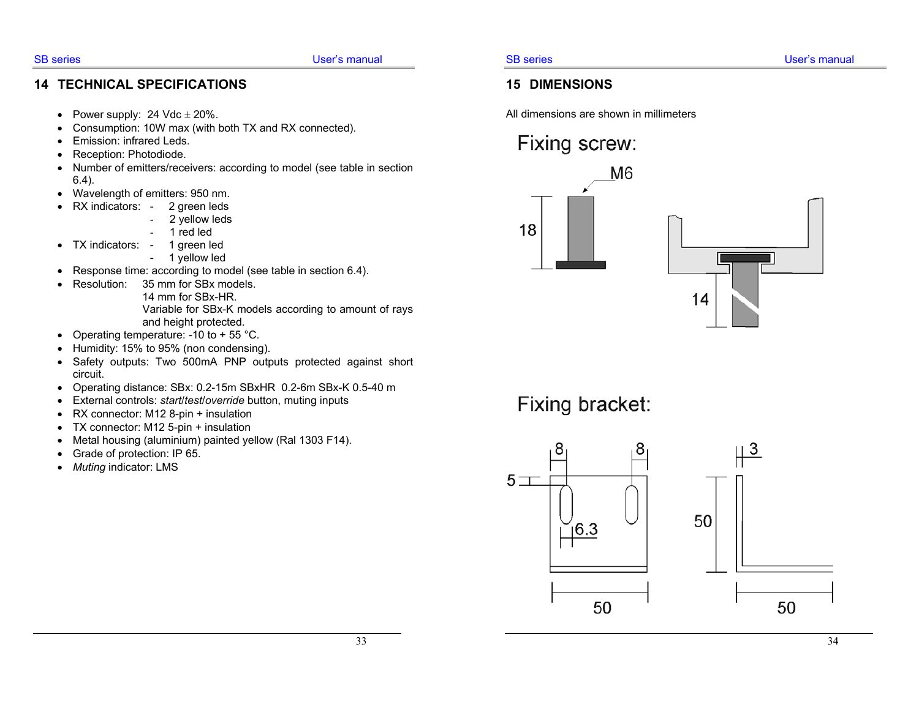## **14 TECHNICAL SPECIFICATIONS**

- Power supply: 24 Vdc  $\pm$  20%.
- Consumption: 10W max (with both TX and RX connected).
- Emission: infrared Leds.
- Reception: Photodiode.
- Number of emitters/receivers: according to model (see table in section 6.4).
- Wavelength of emitters: 950 nm.
- RX indicators: 2 green leds
	- 2 yellow leds
	- 1 red led
- TX indicators: 1 green led
	- 1 yellow led
- Response time: according to model (see table in section 6.4).
- Resolution: 35 mm for SBx models. 14 mm for SBx-HR. Variable for SBx-K models according to amount of rays and height protected.
- Operating temperature:  $-10$  to  $+55$  °C.
- Humidity: 15% to 95% (non condensing).
- Safety outputs: Two 500mA PNP outputs protected against short circuit.
- Operating distance: SBx: 0.2-15m SBxHR 0.2-6m SBx-K 0.5-40 m
- External controls: *start*/*test*/*override* button, muting inputs
- RX connector: M12 8-pin + insulation
- TX connector: M12 5-pin + insulation
- Metal housing (aluminium) painted yellow (Ral 1303 F14).
- Grade of protection: IP 65.
- *Muting* indicator: LMS

## **15 DIMENSIONS**

All dimensions are shown in millimeters

# Fixing screw:



Fixing bracket: